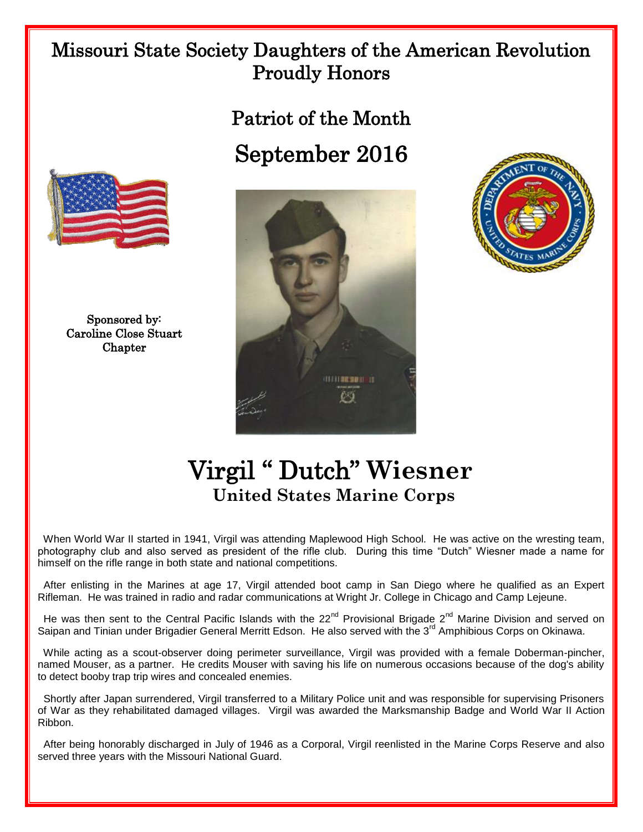## Missouri State Society Daughters of the American Revolution Proudly Honors

Patriot of the Month September 2016



Sponsored by: Caroline Close Stuart Chapter





## Virgil " Dutch" **Wiesner United States Marine Corps**

 When World War II started in 1941, Virgil was attending Maplewood High School. He was active on the wresting team, photography club and also served as president of the rifle club. During this time "Dutch" Wiesner made a name for himself on the rifle range in both state and national competitions.

 After enlisting in the Marines at age 17, Virgil attended boot camp in San Diego where he qualified as an Expert Rifleman. He was trained in radio and radar communications at Wright Jr. College in Chicago and Camp Lejeune.

He was then sent to the Central Pacific Islands with the 22<sup>nd</sup> Provisional Brigade 2<sup>nd</sup> Marine Division and served on Saipan and Tinian under Brigadier General Merritt Edson. He also served with the 3<sup>rd</sup> Amphibious Corps on Okinawa.

 While acting as a scout-observer doing perimeter surveillance, Virgil was provided with a female Doberman-pincher, named Mouser, as a partner. He credits Mouser with saving his life on numerous occasions because of the dog's ability to detect booby trap trip wires and concealed enemies.

 Shortly after Japan surrendered, Virgil transferred to a Military Police unit and was responsible for supervising Prisoners of War as they rehabilitated damaged villages. Virgil was awarded the Marksmanship Badge and World War II Action Ribbon.

 After being honorably discharged in July of 1946 as a Corporal, Virgil reenlisted in the Marine Corps Reserve and also served three years with the Missouri National Guard.